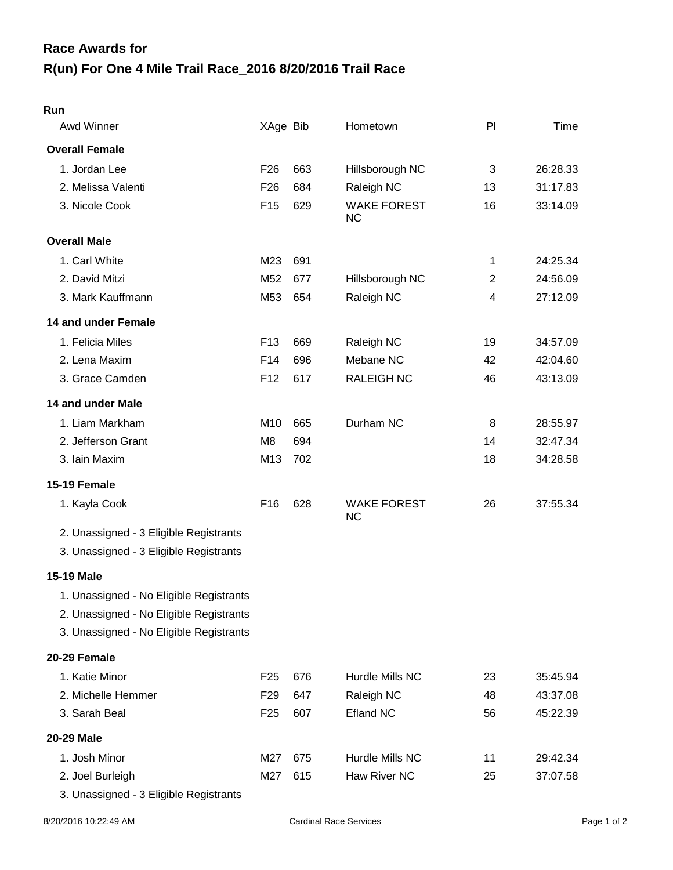## **R(un) For One 4 Mile Trail Race\_2016 8/20/2016 Trail Race Race Awards for**

| Awd Winner                              | XAge Bib        |     | Hometown                        | PI | Time     |
|-----------------------------------------|-----------------|-----|---------------------------------|----|----------|
| <b>Overall Female</b>                   |                 |     |                                 |    |          |
| 1. Jordan Lee                           | F <sub>26</sub> | 663 | Hillsborough NC                 | 3  | 26:28.33 |
| 2. Melissa Valenti                      | F <sub>26</sub> | 684 | Raleigh NC                      | 13 | 31:17.83 |
| 3. Nicole Cook                          | F <sub>15</sub> | 629 | <b>WAKE FOREST</b><br><b>NC</b> | 16 | 33:14.09 |
| <b>Overall Male</b>                     |                 |     |                                 |    |          |
| 1. Carl White                           | M23             | 691 |                                 | 1  | 24:25.34 |
| 2. David Mitzi                          | M52             | 677 | Hillsborough NC                 | 2  | 24:56.09 |
| 3. Mark Kauffmann                       | M53             | 654 | Raleigh NC                      | 4  | 27:12.09 |
| 14 and under Female                     |                 |     |                                 |    |          |
| 1. Felicia Miles                        | F <sub>13</sub> | 669 | Raleigh NC                      | 19 | 34:57.09 |
| 2. Lena Maxim                           | F <sub>14</sub> | 696 | Mebane NC                       | 42 | 42:04.60 |
| 3. Grace Camden                         | F <sub>12</sub> | 617 | <b>RALEIGH NC</b>               | 46 | 43:13.09 |
| 14 and under Male                       |                 |     |                                 |    |          |
| 1. Liam Markham                         | M <sub>10</sub> | 665 | Durham NC                       | 8  | 28:55.97 |
| 2. Jefferson Grant                      | M <sub>8</sub>  | 694 |                                 | 14 | 32:47.34 |
| 3. Iain Maxim                           | M13             | 702 |                                 | 18 | 34:28.58 |
| 15-19 Female                            |                 |     |                                 |    |          |
| 1. Kayla Cook                           | F <sub>16</sub> | 628 | <b>WAKE FOREST</b><br><b>NC</b> | 26 | 37:55.34 |
| 2. Unassigned - 3 Eligible Registrants  |                 |     |                                 |    |          |
| 3. Unassigned - 3 Eligible Registrants  |                 |     |                                 |    |          |
| 15-19 Male                              |                 |     |                                 |    |          |
| 1. Unassigned - No Eligible Registrants |                 |     |                                 |    |          |
| 2. Unassigned - No Eligible Registrants |                 |     |                                 |    |          |
| 3. Unassigned - No Eligible Registrants |                 |     |                                 |    |          |
| 20-29 Female                            |                 |     |                                 |    |          |
| 1. Katie Minor                          | F <sub>25</sub> | 676 | Hurdle Mills NC                 | 23 | 35:45.94 |
| 2. Michelle Hemmer                      | F <sub>29</sub> | 647 | Raleigh NC                      | 48 | 43:37.08 |
| 3. Sarah Beal                           | F <sub>25</sub> | 607 | <b>Efland NC</b>                | 56 | 45:22.39 |
| 20-29 Male                              |                 |     |                                 |    |          |
| 1. Josh Minor                           | M27             | 675 | Hurdle Mills NC                 | 11 | 29:42.34 |
| 2. Joel Burleigh                        | M27             | 615 | Haw River NC                    | 25 | 37:07.58 |
| 3. Unassigned - 3 Eligible Registrants  |                 |     |                                 |    |          |